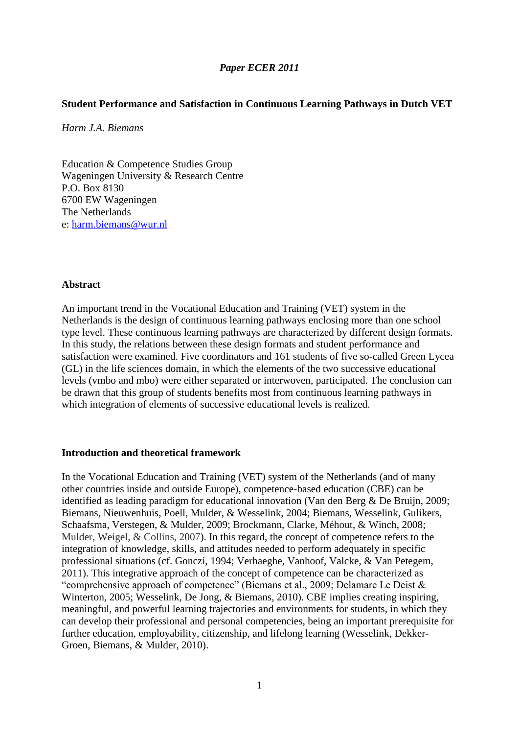## *Paper ECER 2011*

## **Student Performance and Satisfaction in Continuous Learning Pathways in Dutch VET**

*Harm J.A. Biemans*

Education & Competence Studies Group Wageningen University & Research Centre P.O. Box 8130 6700 EW Wageningen The Netherlands e: [harm.biemans@wur.nl](mailto:harm.biemans@wur.nl)

#### **Abstract**

An important trend in the Vocational Education and Training (VET) system in the Netherlands is the design of continuous learning pathways enclosing more than one school type level. These continuous learning pathways are characterized by different design formats. In this study, the relations between these design formats and student performance and satisfaction were examined. Five coordinators and 161 students of five so-called Green Lycea (GL) in the life sciences domain, in which the elements of the two successive educational levels (vmbo and mbo) were either separated or interwoven, participated. The conclusion can be drawn that this group of students benefits most from continuous learning pathways in which integration of elements of successive educational levels is realized.

### **Introduction and theoretical framework**

In the Vocational Education and Training (VET) system of the Netherlands (and of many other countries inside and outside Europe), competence-based education (CBE) can be identified as leading paradigm for educational innovation (Van den Berg & De Bruijn, 2009; Biemans, Nieuwenhuis, Poell, Mulder, & Wesselink, 2004; Biemans, Wesselink, Gulikers, Schaafsma, Verstegen, & Mulder, 2009; Brockmann, Clarke, Méhout, & Winch, 2008; Mulder, Weigel, & Collins, 2007). In this regard, the concept of competence refers to the integration of knowledge, skills, and attitudes needed to perform adequately in specific professional situations (cf. Gonczi, 1994; Verhaeghe, Vanhoof, Valcke, & Van Petegem, 2011). This integrative approach of the concept of competence can be characterized as "comprehensive approach of competence" (Biemans et al., 2009; Delamare Le Deist & Winterton, 2005; Wesselink, De Jong, & Biemans, 2010). CBE implies creating inspiring, meaningful, and powerful learning trajectories and environments for students, in which they can develop their professional and personal competencies, being an important prerequisite for further education, employability, citizenship, and lifelong learning (Wesselink, Dekker-Groen, Biemans, & Mulder, 2010).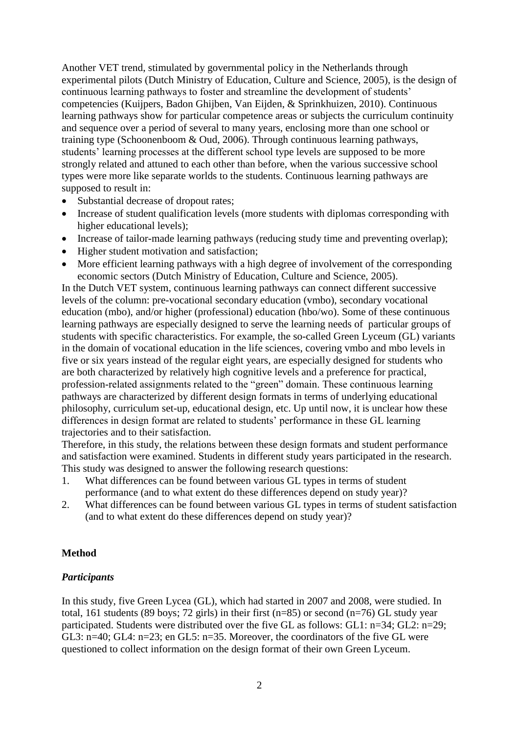Another VET trend, stimulated by governmental policy in the Netherlands through experimental pilots (Dutch Ministry of Education, Culture and Science, 2005), is the design of continuous learning pathways to foster and streamline the development of students' competencies (Kuijpers, Badon Ghijben, Van Eijden, & Sprinkhuizen, 2010). Continuous learning pathways show for particular competence areas or subjects the curriculum continuity and sequence over a period of several to many years, enclosing more than one school or training type (Schoonenboom & Oud, 2006). Through continuous learning pathways, students' learning processes at the different school type levels are supposed to be more strongly related and attuned to each other than before, when the various successive school types were more like separate worlds to the students. Continuous learning pathways are supposed to result in:

- Substantial decrease of dropout rates;
- Increase of student qualification levels (more students with diplomas corresponding with higher educational levels);
- Increase of tailor-made learning pathways (reducing study time and preventing overlap);
- Higher student motivation and satisfaction;
- More efficient learning pathways with a high degree of involvement of the corresponding economic sectors (Dutch Ministry of Education, Culture and Science, 2005).

In the Dutch VET system, continuous learning pathways can connect different successive levels of the column: pre-vocational secondary education (vmbo), secondary vocational education (mbo), and/or higher (professional) education (hbo/wo). Some of these continuous learning pathways are especially designed to serve the learning needs of particular groups of students with specific characteristics. For example, the so-called Green Lyceum (GL) variants in the domain of vocational education in the life sciences, covering vmbo and mbo levels in five or six years instead of the regular eight years, are especially designed for students who are both characterized by relatively high cognitive levels and a preference for practical, profession-related assignments related to the "green" domain. These continuous learning pathways are characterized by different design formats in terms of underlying educational philosophy, curriculum set-up, educational design, etc. Up until now, it is unclear how these differences in design format are related to students' performance in these GL learning trajectories and to their satisfaction.

Therefore, in this study, the relations between these design formats and student performance and satisfaction were examined. Students in different study years participated in the research. This study was designed to answer the following research questions:

- 1. What differences can be found between various GL types in terms of student performance (and to what extent do these differences depend on study year)?
- 2. What differences can be found between various GL types in terms of student satisfaction (and to what extent do these differences depend on study year)?

### **Method**

### *Participants*

In this study, five Green Lycea (GL), which had started in 2007 and 2008, were studied. In total, 161 students (89 boys; 72 girls) in their first (n=85) or second (n=76) GL study year participated. Students were distributed over the five GL as follows: GL1: n=34; GL2: n=29; GL3: n=40; GL4: n=23; en GL5: n=35. Moreover, the coordinators of the five GL were questioned to collect information on the design format of their own Green Lyceum.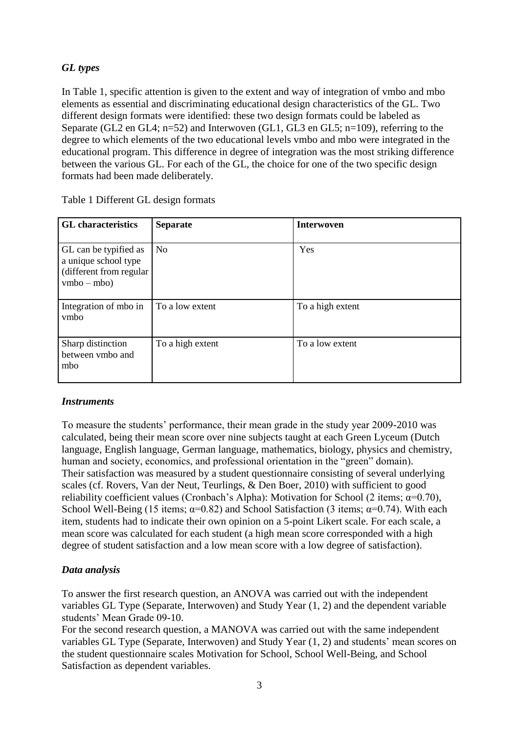# *GL types*

In Table 1, specific attention is given to the extent and way of integration of vmbo and mbo elements as essential and discriminating educational design characteristics of the GL. Two different design formats were identified: these two design formats could be labeled as Separate (GL2 en GL4; n=52) and Interwoven (GL1, GL3 en GL5; n=109), referring to the degree to which elements of the two educational levels vmbo and mbo were integrated in the educational program. This difference in degree of integration was the most striking difference between the various GL. For each of the GL, the choice for one of the two specific design formats had been made deliberately.

| <b>GL</b> characteristics                                                                  | <b>Separate</b>  | <b>Interwoven</b> |
|--------------------------------------------------------------------------------------------|------------------|-------------------|
| GL can be typified as<br>a unique school type<br>(different from regular)<br>$vmbo - mbo)$ | No.              | Yes               |
| Integration of mbo in<br>vmbo                                                              | To a low extent  | To a high extent  |
| Sharp distinction<br>between vmbo and<br>mbo                                               | To a high extent | To a low extent   |

Table 1 Different GL design formats

# *Instruments*

To measure the students' performance, their mean grade in the study year 2009-2010 was calculated, being their mean score over nine subjects taught at each Green Lyceum (Dutch language, English language, German language, mathematics, biology, physics and chemistry, human and society, economics, and professional orientation in the "green" domain). Their satisfaction was measured by a student questionnaire consisting of several underlying scales (cf. Rovers, Van der Neut, Teurlings, & Den Boer, 2010) with sufficient to good reliability coefficient values (Cronbach's Alpha): Motivation for School (2 items;  $\alpha$ =0.70), School Well-Being (15 items;  $\alpha=0.82$ ) and School Satisfaction (3 items;  $\alpha=0.74$ ). With each item, students had to indicate their own opinion on a 5-point Likert scale. For each scale, a mean score was calculated for each student (a high mean score corresponded with a high degree of student satisfaction and a low mean score with a low degree of satisfaction).

# *Data analysis*

To answer the first research question, an ANOVA was carried out with the independent variables GL Type (Separate, Interwoven) and Study Year (1, 2) and the dependent variable students' Mean Grade 09-10.

For the second research question, a MANOVA was carried out with the same independent variables GL Type (Separate, Interwoven) and Study Year (1, 2) and students' mean scores on the student questionnaire scales Motivation for School, School Well-Being, and School Satisfaction as dependent variables.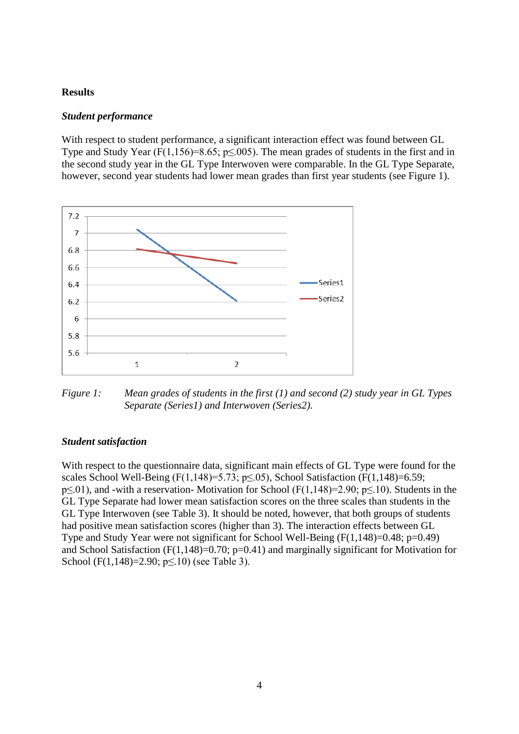### **Results**

### *Student performance*

With respect to student performance, a significant interaction effect was found between GL Type and Study Year (F(1,156)=8.65; p $\leq$ .005). The mean grades of students in the first and in the second study year in the GL Type Interwoven were comparable. In the GL Type Separate, however, second year students had lower mean grades than first year students (see Figure 1).



*Figure 1: Mean grades of students in the first (1) and second (2) study year in GL Types Separate (Series1) and Interwoven (Series2).*

#### *Student satisfaction*

With respect to the questionnaire data, significant main effects of GL Type were found for the scales School Well-Being (F(1,148)=5.73; p $\leq$ .05), School Satisfaction (F(1,148)=6.59; p≤.01), and -with a reservation- Motivation for School (F(1,148)=2.90; p≤.10). Students in the GL Type Separate had lower mean satisfaction scores on the three scales than students in the GL Type Interwoven (see Table 3). It should be noted, however, that both groups of students had positive mean satisfaction scores (higher than 3). The interaction effects between GL Type and Study Year were not significant for School Well-Being (F(1,148)=0.48; p=0.49) and School Satisfaction (F(1,148)=0.70;  $p=0.41$ ) and marginally significant for Motivation for School (F(1,148)=2.90;  $p \le 10$ ) (see Table 3).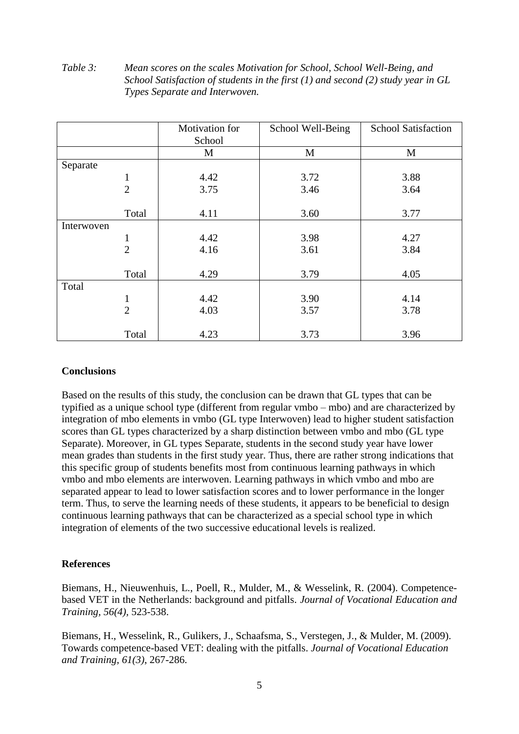### *Table 3: Mean scores on the scales Motivation for School, School Well-Being, and School Satisfaction of students in the first (1) and second (2) study year in GL Types Separate and Interwoven.*

|            |                | Motivation for | School Well-Being | <b>School Satisfaction</b> |
|------------|----------------|----------------|-------------------|----------------------------|
|            |                | School         |                   |                            |
|            |                | M              | M                 | M                          |
| Separate   |                |                |                   |                            |
|            | 1              | 4.42           | 3.72              | 3.88                       |
|            | $\overline{2}$ | 3.75           | 3.46              | 3.64                       |
|            |                |                |                   |                            |
|            | Total          | 4.11           | 3.60              | 3.77                       |
| Interwoven |                |                |                   |                            |
|            | 1              | 4.42           | 3.98              | 4.27                       |
|            | $\overline{2}$ | 4.16           | 3.61              | 3.84                       |
|            |                |                |                   |                            |
|            | Total          | 4.29           | 3.79              | 4.05                       |
| Total      |                |                |                   |                            |
|            | $\mathbf{1}$   | 4.42           | 3.90              | 4.14                       |
|            | $\overline{2}$ | 4.03           | 3.57              | 3.78                       |
|            |                |                |                   |                            |
|            | Total          | 4.23           | 3.73              | 3.96                       |

## **Conclusions**

Based on the results of this study, the conclusion can be drawn that GL types that can be typified as a unique school type (different from regular vmbo – mbo) and are characterized by integration of mbo elements in vmbo (GL type Interwoven) lead to higher student satisfaction scores than GL types characterized by a sharp distinction between vmbo and mbo (GL type Separate). Moreover, in GL types Separate, students in the second study year have lower mean grades than students in the first study year. Thus, there are rather strong indications that this specific group of students benefits most from continuous learning pathways in which vmbo and mbo elements are interwoven. Learning pathways in which vmbo and mbo are separated appear to lead to lower satisfaction scores and to lower performance in the longer term. Thus, to serve the learning needs of these students, it appears to be beneficial to design continuous learning pathways that can be characterized as a special school type in which integration of elements of the two successive educational levels is realized.

## **References**

Biemans, H., Nieuwenhuis, L., Poell, R., Mulder, M., & Wesselink, R. (2004). Competencebased VET in the Netherlands: background and pitfalls. *Journal of Vocational Education and Training, 56(4),* 523-538.

Biemans, H., Wesselink, R., Gulikers, J., Schaafsma, S., Verstegen, J., & Mulder, M. (2009). Towards competence-based VET: dealing with the pitfalls. *Journal of Vocational Education and Training, 61(3)*, 267-286.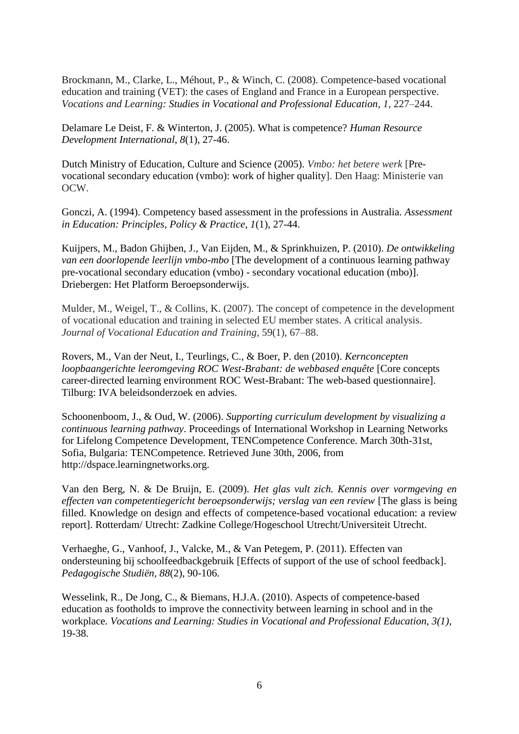Brockmann, M., Clarke, L., Méhout, P., & Winch, C. (2008). Competence-based vocational education and training (VET): the cases of England and France in a European perspective. *Vocations and Learning: Studies in Vocational and Professional Education, 1*, 227–244.

Delamare Le Deist, F. & Winterton, J. (2005). What is competence? *Human Resource Development International, 8*(1), 27-46.

Dutch Ministry of Education, Culture and Science (2005). *Vmbo: het betere werk* [Prevocational secondary education (vmbo): work of higher quality]. Den Haag: Ministerie van OCW.

Gonczi, A. (1994). Competency based assessment in the professions in Australia. *Assessment in Education: Principles, Policy & Practice, 1*(1), 27-44.

Kuijpers, M., Badon Ghijben, J., Van Eijden, M., & Sprinkhuizen, P. (2010). *De ontwikkeling van een doorlopende leerlijn vmbo-mbo* [The development of a continuous learning pathway pre-vocational secondary education (vmbo) - secondary vocational education (mbo)]. Driebergen: Het Platform Beroepsonderwijs.

Mulder, M., Weigel, T., & Collins, K. (2007). The concept of competence in the development of vocational education and training in selected EU member states. A critical analysis. *Journal of Vocational Education and Training,* 59(1), 67–88.

Rovers, M., Van der Neut, I., Teurlings, C., & Boer, P. den (2010). *Kernconcepten loopbaangerichte leeromgeving ROC West-Brabant: de webbased enquête* [Core concepts] career-directed learning environment ROC West-Brabant: The web-based questionnaire]. Tilburg: IVA beleidsonderzoek en advies.

Schoonenboom, J., & Oud, W. (2006). *Supporting curriculum development by visualizing a continuous learning pathway*. Proceedings of International Workshop in Learning Networks for Lifelong Competence Development, TENCompetence Conference. March 30th-31st, Sofia, Bulgaria: TENCompetence. Retrieved June 30th, 2006, from http://dspace.learningnetworks.org.

Van den Berg, N. & De Bruijn, E. (2009). *Het glas vult zich. Kennis over vormgeving en effecten van competentiegericht beroepsonderwijs; verslag van een review* [The glass is being filled. Knowledge on design and effects of competence-based vocational education: a review report]. Rotterdam/ Utrecht: Zadkine College/Hogeschool Utrecht/Universiteit Utrecht.

Verhaeghe, G., Vanhoof, J., Valcke, M., & Van Petegem, P. (2011). Effecten van ondersteuning bij schoolfeedbackgebruik [Effects of support of the use of school feedback]. *Pedagogische Studiën, 88*(2), 90-106.

Wesselink, R., De Jong, C., & Biemans, H.J.A. (2010). Aspects of competence-based education as footholds to improve the connectivity between learning in school and in the workplace. *Vocations and Learning: Studies in Vocational and Professional Education, 3(1)*, 19-38.